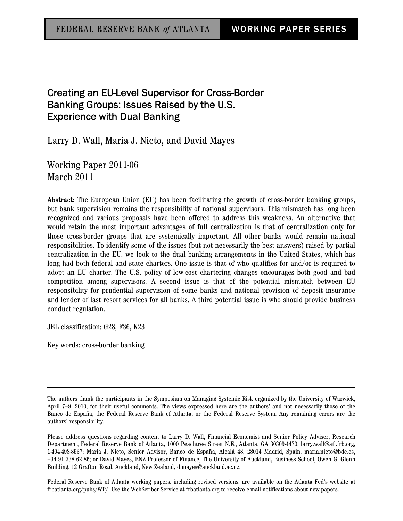# Creating an EU-Level Supervisor for Cross-Border Banking Groups: Issues Raised by the U.S. Experience with Dual Banking

Larry D. Wall, María J. Nieto, and David Mayes

Working Paper 2011-06 March 2011

Abstract: The European Union (EU) has been facilitating the growth of cross-border banking groups, but bank supervision remains the responsibility of national supervisors. This mismatch has long been recognized and various proposals have been offered to address this weakness. An alternative that would retain the most important advantages of full centralization is that of centralization only for those cross-border groups that are systemically important. All other banks would remain national responsibilities. To identify some of the issues (but not necessarily the best answers) raised by partial centralization in the EU, we look to the dual banking arrangements in the United States, which has long had both federal and state charters. One issue is that of who qualifies for and/or is required to adopt an EU charter. The U.S. policy of low-cost chartering changes encourages both good and bad competition among supervisors. A second issue is that of the potential mismatch between EU responsibility for prudential supervision of some banks and national provision of deposit insurance and lender of last resort services for all banks. A third potential issue is who should provide business conduct regulation.

JEL classification: G28, F36, K23

Key words: cross-border banking

Federal Reserve Bank of Atlanta working papers, including revised versions, are available on the Atlanta Fed's website at frbatlanta.org/pubs/WP/. Use the WebScriber Service at frbatlanta.org to receive e-mail notifications about new papers.

The authors thank the participants in the Symposium on Managing Systemic Risk organized by the University of Warwick, April 7–9, 2010, for their useful comments. The views expressed here are the authors' and not necessarily those of the Banco de España, the Federal Reserve Bank of Atlanta, or the Federal Reserve System. Any remaining errors are the authors' responsibility.

Please address questions regarding content to Larry D. Wall, Financial Economist and Senior Policy Adviser, Research Department, Federal Reserve Bank of Atlanta, 1000 Peachtree Street N.E., Atlanta, GA 30309-4470, larry.wall@atl.frb.org, 1-404-498-8937; María J. Nieto, Senior Advisor, Banco de España, Alcalá 48, 28014 Madrid, Spain, maria.nieto@bde.es, +34 91 338 62 86; or David Mayes, BNZ Professor of Finance, The University of Auckland, Business School, Owen G. Glenn Building, 12 Grafton Road, Auckland, New Zealand, d.mayes@auckland.ac.nz.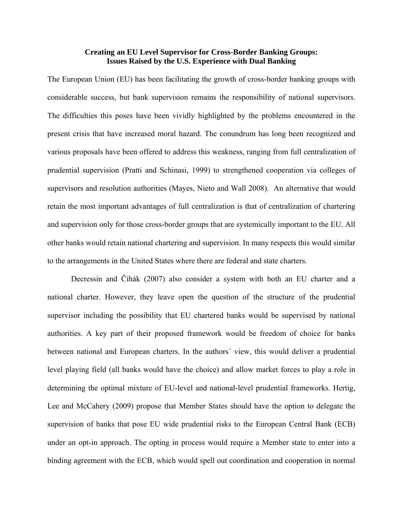# **Creating an EU Level Supervisor for Cross-Border Banking Groups: Issues Raised by the U.S. Experience with Dual Banking**

The European Union (EU) has been facilitating the growth of cross-border banking groups with considerable success, but bank supervision remains the responsibility of national supervisors. The difficulties this poses have been vividly highlighted by the problems encountered in the present crisis that have increased moral hazard. The conundrum has long been recognized and various proposals have been offered to address this weakness, ranging from full centralization of prudential supervision (Pratti and Schinasi, 1999) to strengthened cooperation via colleges of supervisors and resolution authorities (Mayes, Nieto and Wall 2008). An alternative that would retain the most important advantages of full centralization is that of centralization of chartering and supervision only for those cross-border groups that are systemically important to the EU. All other banks would retain national chartering and supervision. In many respects this would similar to the arrangements in the United States where there are federal and state charters.

Decressin and Čihák (2007) also consider a system with both an EU charter and a national charter. However, they leave open the question of the structure of the prudential supervisor including the possibility that EU chartered banks would be supervised by national authorities. A key part of their proposed framework would be freedom of choice for banks between national and European charters. In the authors´ view, this would deliver a prudential level playing field (all banks would have the choice) and allow market forces to play a role in determining the optimal mixture of EU-level and national-level prudential frameworks. Hertig, Lee and McCahery (2009) propose that Member States should have the option to delegate the supervision of banks that pose EU wide prudential risks to the European Central Bank (ECB) under an opt-in approach. The opting in process would require a Member state to enter into a binding agreement with the ECB, which would spell out coordination and cooperation in normal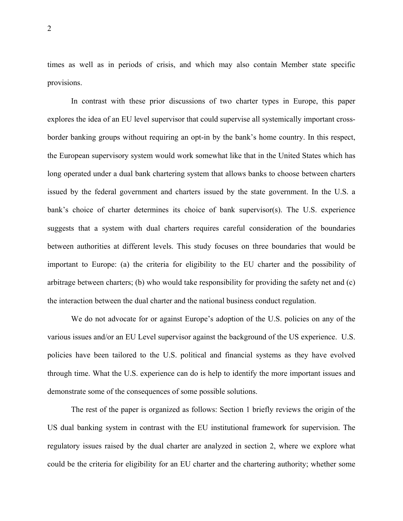times as well as in periods of crisis, and which may also contain Member state specific provisions.

In contrast with these prior discussions of two charter types in Europe, this paper explores the idea of an EU level supervisor that could supervise all systemically important crossborder banking groups without requiring an opt-in by the bank's home country. In this respect, the European supervisory system would work somewhat like that in the United States which has long operated under a dual bank chartering system that allows banks to choose between charters issued by the federal government and charters issued by the state government. In the U.S. a bank's choice of charter determines its choice of bank supervisor(s). The U.S. experience suggests that a system with dual charters requires careful consideration of the boundaries between authorities at different levels. This study focuses on three boundaries that would be important to Europe: (a) the criteria for eligibility to the EU charter and the possibility of arbitrage between charters; (b) who would take responsibility for providing the safety net and (c) the interaction between the dual charter and the national business conduct regulation.

We do not advocate for or against Europe's adoption of the U.S. policies on any of the various issues and/or an EU Level supervisor against the background of the US experience. U.S. policies have been tailored to the U.S. political and financial systems as they have evolved through time. What the U.S. experience can do is help to identify the more important issues and demonstrate some of the consequences of some possible solutions.

 The rest of the paper is organized as follows: Section 1 briefly reviews the origin of the US dual banking system in contrast with the EU institutional framework for supervision. The regulatory issues raised by the dual charter are analyzed in section 2, where we explore what could be the criteria for eligibility for an EU charter and the chartering authority; whether some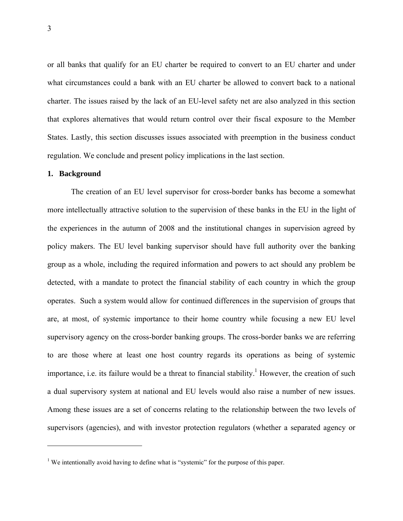or all banks that qualify for an EU charter be required to convert to an EU charter and under what circumstances could a bank with an EU charter be allowed to convert back to a national charter. The issues raised by the lack of an EU-level safety net are also analyzed in this section that explores alternatives that would return control over their fiscal exposure to the Member States. Lastly, this section discusses issues associated with preemption in the business conduct regulation. We conclude and present policy implications in the last section.

## **1. Background**

 $\overline{a}$ 

 The creation of an EU level supervisor for cross-border banks has become a somewhat more intellectually attractive solution to the supervision of these banks in the EU in the light of the experiences in the autumn of 2008 and the institutional changes in supervision agreed by policy makers. The EU level banking supervisor should have full authority over the banking group as a whole, including the required information and powers to act should any problem be detected, with a mandate to protect the financial stability of each country in which the group operates. Such a system would allow for continued differences in the supervision of groups that are, at most, of systemic importance to their home country while focusing a new EU level supervisory agency on the cross-border banking groups. The cross-border banks we are referring to are those where at least one host country regards its operations as being of systemic importance, i.e. its failure would be a threat to financial stability.<sup>1</sup> However, the creation of such a dual supervisory system at national and EU levels would also raise a number of new issues. Among these issues are a set of concerns relating to the relationship between the two levels of supervisors (agencies), and with investor protection regulators (whether a separated agency or

<sup>&</sup>lt;sup>1</sup> We intentionally avoid having to define what is "systemic" for the purpose of this paper.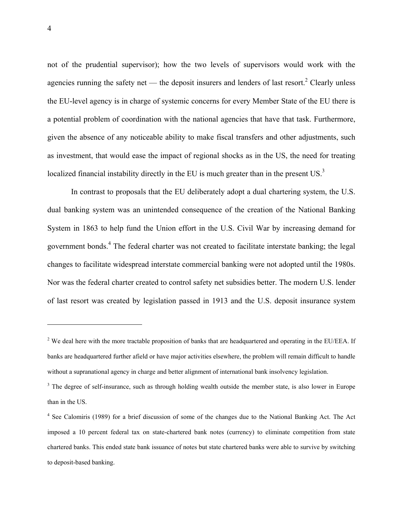not of the prudential supervisor); how the two levels of supervisors would work with the agencies running the safety net — the deposit insurers and lenders of last resort.<sup>2</sup> Clearly unless the EU-level agency is in charge of systemic concerns for every Member State of the EU there is a potential problem of coordination with the national agencies that have that task. Furthermore, given the absence of any noticeable ability to make fiscal transfers and other adjustments, such as investment, that would ease the impact of regional shocks as in the US, the need for treating localized financial instability directly in the EU is much greater than in the present US.<sup>3</sup>

 In contrast to proposals that the EU deliberately adopt a dual chartering system, the U.S. dual banking system was an unintended consequence of the creation of the National Banking System in 1863 to help fund the Union effort in the U.S. Civil War by increasing demand for government bonds.<sup>4</sup> The federal charter was not created to facilitate interstate banking; the legal changes to facilitate widespread interstate commercial banking were not adopted until the 1980s. Nor was the federal charter created to control safety net subsidies better. The modern U.S. lender of last resort was created by legislation passed in 1913 and the U.S. deposit insurance system

<u>.</u>

<sup>&</sup>lt;sup>2</sup> We deal here with the more tractable proposition of banks that are headquartered and operating in the EU/EEA. If banks are headquartered further afield or have major activities elsewhere, the problem will remain difficult to handle without a supranational agency in charge and better alignment of international bank insolvency legislation.

 $3$  The degree of self-insurance, such as through holding wealth outside the member state, is also lower in Europe than in the US.

<sup>&</sup>lt;sup>4</sup> See Calomiris (1989) for a brief discussion of some of the changes due to the National Banking Act. The Act imposed a 10 percent federal tax on state-chartered bank notes (currency) to eliminate competition from state chartered banks. This ended state bank issuance of notes but state chartered banks were able to survive by switching to deposit-based banking.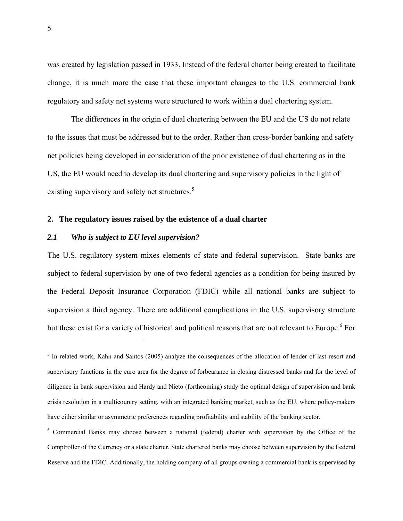was created by legislation passed in 1933. Instead of the federal charter being created to facilitate change, it is much more the case that these important changes to the U.S. commercial bank regulatory and safety net systems were structured to work within a dual chartering system.

 The differences in the origin of dual chartering between the EU and the US do not relate to the issues that must be addressed but to the order. Rather than cross-border banking and safety net policies being developed in consideration of the prior existence of dual chartering as in the US, the EU would need to develop its dual chartering and supervisory policies in the light of existing supervisory and safety net structures.<sup>5</sup>

### **2. The regulatory issues raised by the existence of a dual charter**

# *2.1 Who is subject to EU level supervision?*

The U.S. regulatory system mixes elements of state and federal supervision. State banks are subject to federal supervision by one of two federal agencies as a condition for being insured by the Federal Deposit Insurance Corporation (FDIC) while all national banks are subject to supervision a third agency. There are additional complications in the U.S. supervisory structure but these exist for a variety of historical and political reasons that are not relevant to Europe.<sup>6</sup> For

<sup>&</sup>lt;sup>5</sup> In related work, Kahn and Santos (2005) analyze the consequences of the allocation of lender of last resort and supervisory functions in the euro area for the degree of forbearance in closing distressed banks and for the level of diligence in bank supervision and Hardy and Nieto (forthcoming) study the optimal design of supervision and bank crisis resolution in a multicountry setting, with an integrated banking market, such as the EU, where policy-makers have either similar or asymmetric preferences regarding profitability and stability of the banking sector.

<sup>&</sup>lt;sup>6</sup> Commercial Banks may choose between a national (federal) charter with supervision by the Office of the Comptroller of the Currency or a state charter. State chartered banks may choose between supervision by the Federal Reserve and the FDIC. Additionally, the holding company of all groups owning a commercial bank is supervised by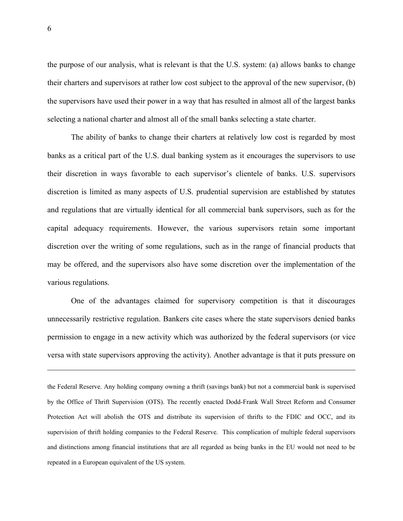the purpose of our analysis, what is relevant is that the U.S. system: (a) allows banks to change their charters and supervisors at rather low cost subject to the approval of the new supervisor, (b) the supervisors have used their power in a way that has resulted in almost all of the largest banks selecting a national charter and almost all of the small banks selecting a state charter.

 The ability of banks to change their charters at relatively low cost is regarded by most banks as a critical part of the U.S. dual banking system as it encourages the supervisors to use their discretion in ways favorable to each supervisor's clientele of banks. U.S. supervisors discretion is limited as many aspects of U.S. prudential supervision are established by statutes and regulations that are virtually identical for all commercial bank supervisors, such as for the capital adequacy requirements. However, the various supervisors retain some important discretion over the writing of some regulations, such as in the range of financial products that may be offered, and the supervisors also have some discretion over the implementation of the various regulations.

 One of the advantages claimed for supervisory competition is that it discourages unnecessarily restrictive regulation. Bankers cite cases where the state supervisors denied banks permission to engage in a new activity which was authorized by the federal supervisors (or vice versa with state supervisors approving the activity). Another advantage is that it puts pressure on

the Federal Reserve. Any holding company owning a thrift (savings bank) but not a commercial bank is supervised by the Office of Thrift Supervision (OTS). The recently enacted Dodd-Frank Wall Street Reform and Consumer Protection Act will abolish the OTS and distribute its supervision of thrifts to the FDIC and OCC, and its supervision of thrift holding companies to the Federal Reserve. This complication of multiple federal supervisors and distinctions among financial institutions that are all regarded as being banks in the EU would not need to be repeated in a European equivalent of the US system.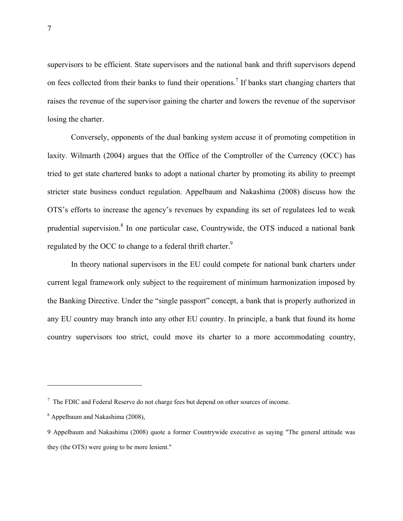supervisors to be efficient. State supervisors and the national bank and thrift supervisors depend on fees collected from their banks to fund their operations.<sup>7</sup> If banks start changing charters that raises the revenue of the supervisor gaining the charter and lowers the revenue of the supervisor losing the charter.

 Conversely, opponents of the dual banking system accuse it of promoting competition in laxity. Wilmarth (2004) argues that the Office of the Comptroller of the Currency (OCC) has tried to get state chartered banks to adopt a national charter by promoting its ability to preempt stricter state business conduct regulation. Appelbaum and Nakashima (2008) discuss how the OTS's efforts to increase the agency's revenues by expanding its set of regulatees led to weak prudential supervision.<sup>8</sup> In one particular case, Countrywide, the OTS induced a national bank regulated by the OCC to change to a federal thrift charter.<sup>9</sup>

In theory national supervisors in the EU could compete for national bank charters under current legal framework only subject to the requirement of minimum harmonization imposed by the Banking Directive. Under the "single passport" concept, a bank that is properly authorized in any EU country may branch into any other EU country. In principle, a bank that found its home country supervisors too strict, could move its charter to a more accommodating country,

 $7$  The FDIC and Federal Reserve do not charge fees but depend on other sources of income.

<sup>&</sup>lt;sup>8</sup> Appelbaum and Nakashima (2008),

<sup>9</sup> Appelbaum and Nakashima (2008) quote a former Countrywide executive as saying "The general attitude was they (the OTS) were going to be more lenient."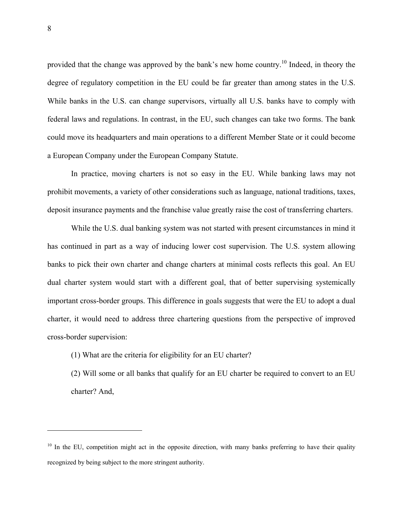provided that the change was approved by the bank's new home country.<sup>10</sup> Indeed, in theory the degree of regulatory competition in the EU could be far greater than among states in the U.S. While banks in the U.S. can change supervisors, virtually all U.S. banks have to comply with federal laws and regulations. In contrast, in the EU, such changes can take two forms. The bank could move its headquarters and main operations to a different Member State or it could become a European Company under the European Company Statute.

In practice, moving charters is not so easy in the EU. While banking laws may not prohibit movements, a variety of other considerations such as language, national traditions, taxes, deposit insurance payments and the franchise value greatly raise the cost of transferring charters.

 While the U.S. dual banking system was not started with present circumstances in mind it has continued in part as a way of inducing lower cost supervision. The U.S. system allowing banks to pick their own charter and change charters at minimal costs reflects this goal. An EU dual charter system would start with a different goal, that of better supervising systemically important cross-border groups. This difference in goals suggests that were the EU to adopt a dual charter, it would need to address three chartering questions from the perspective of improved cross-border supervision:

(1) What are the criteria for eligibility for an EU charter?

(2) Will some or all banks that qualify for an EU charter be required to convert to an EU charter? And,

<sup>&</sup>lt;sup>10</sup> In the EU, competition might act in the opposite direction, with many banks preferring to have their quality recognized by being subject to the more stringent authority.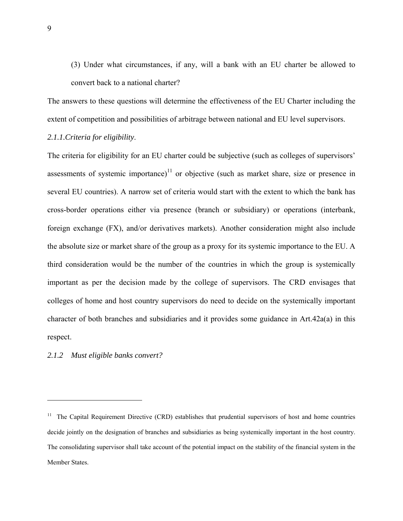(3) Under what circumstances, if any, will a bank with an EU charter be allowed to convert back to a national charter?

The answers to these questions will determine the effectiveness of the EU Charter including the extent of competition and possibilities of arbitrage between national and EU level supervisors.

### *2.1.1.Criteria for eligibility*.

The criteria for eligibility for an EU charter could be subjective (such as colleges of supervisors' assessments of systemic importance) $11$  or objective (such as market share, size or presence in several EU countries). A narrow set of criteria would start with the extent to which the bank has cross-border operations either via presence (branch or subsidiary) or operations (interbank, foreign exchange (FX), and/or derivatives markets). Another consideration might also include the absolute size or market share of the group as a proxy for its systemic importance to the EU. A third consideration would be the number of the countries in which the group is systemically important as per the decision made by the college of supervisors. The CRD envisages that colleges of home and host country supervisors do need to decide on the systemically important character of both branches and subsidiaries and it provides some guidance in Art.42a(a) in this respect.

# *2.1.2 Must eligible banks convert?*

<sup>&</sup>lt;sup>11</sup> The Capital Requirement Directive (CRD) establishes that prudential supervisors of host and home countries decide jointly on the designation of branches and subsidiaries as being systemically important in the host country. The consolidating supervisor shall take account of the potential impact on the stability of the financial system in the Member States.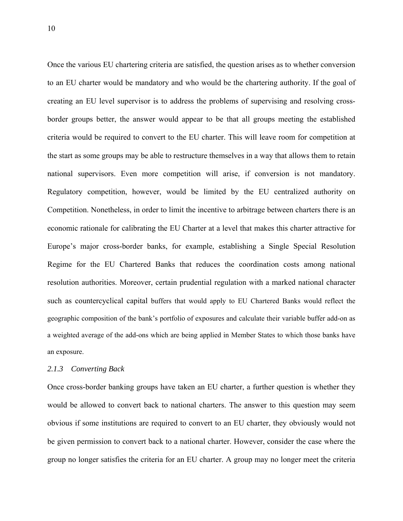Once the various EU chartering criteria are satisfied, the question arises as to whether conversion to an EU charter would be mandatory and who would be the chartering authority. If the goal of creating an EU level supervisor is to address the problems of supervising and resolving crossborder groups better, the answer would appear to be that all groups meeting the established criteria would be required to convert to the EU charter. This will leave room for competition at the start as some groups may be able to restructure themselves in a way that allows them to retain national supervisors. Even more competition will arise, if conversion is not mandatory. Regulatory competition, however, would be limited by the EU centralized authority on Competition. Nonetheless, in order to limit the incentive to arbitrage between charters there is an economic rationale for calibrating the EU Charter at a level that makes this charter attractive for Europe's major cross-border banks, for example, establishing a Single Special Resolution Regime for the EU Chartered Banks that reduces the coordination costs among national resolution authorities. Moreover, certain prudential regulation with a marked national character such as countercyclical capital buffers that would apply to EU Chartered Banks would reflect the geographic composition of the bank's portfolio of exposures and calculate their variable buffer add-on as a weighted average of the add-ons which are being applied in Member States to which those banks have an exposure.

### *2.1.3 Converting Back*

Once cross-border banking groups have taken an EU charter, a further question is whether they would be allowed to convert back to national charters. The answer to this question may seem obvious if some institutions are required to convert to an EU charter, they obviously would not be given permission to convert back to a national charter. However, consider the case where the group no longer satisfies the criteria for an EU charter. A group may no longer meet the criteria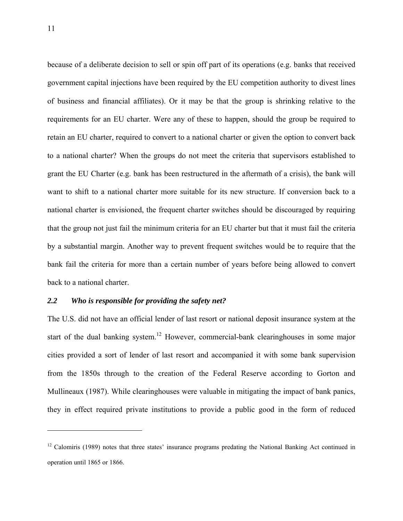because of a deliberate decision to sell or spin off part of its operations (e.g. banks that received government capital injections have been required by the EU competition authority to divest lines of business and financial affiliates). Or it may be that the group is shrinking relative to the requirements for an EU charter. Were any of these to happen, should the group be required to retain an EU charter, required to convert to a national charter or given the option to convert back to a national charter? When the groups do not meet the criteria that supervisors established to grant the EU Charter (e.g. bank has been restructured in the aftermath of a crisis), the bank will want to shift to a national charter more suitable for its new structure. If conversion back to a national charter is envisioned, the frequent charter switches should be discouraged by requiring that the group not just fail the minimum criteria for an EU charter but that it must fail the criteria by a substantial margin. Another way to prevent frequent switches would be to require that the bank fail the criteria for more than a certain number of years before being allowed to convert back to a national charter.

# *2.2 Who is responsible for providing the safety net?*

The U.S. did not have an official lender of last resort or national deposit insurance system at the start of the dual banking system.<sup>12</sup> However, commercial-bank clearinghouses in some major cities provided a sort of lender of last resort and accompanied it with some bank supervision from the 1850s through to the creation of the Federal Reserve according to Gorton and Mullineaux (1987). While clearinghouses were valuable in mitigating the impact of bank panics, they in effect required private institutions to provide a public good in the form of reduced

 $12$  Calomiris (1989) notes that three states' insurance programs predating the National Banking Act continued in operation until 1865 or 1866.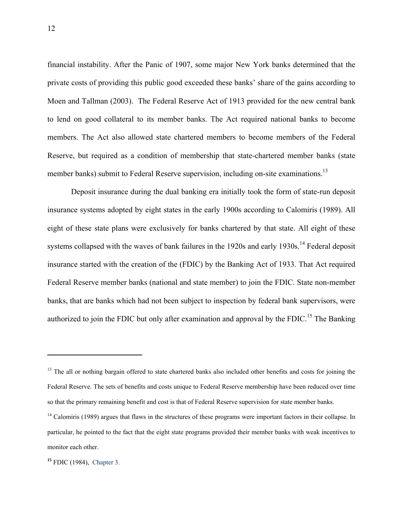financial instability. After the Panic of 1907, some major New York banks determined that the private costs of providing this public good exceeded these banks' share of the gains according to Moen and Tallman (2003). The Federal Reserve Act of 1913 provided for the new central bank to lend on good collateral to its member banks. The Act required national banks to become members. The Act also allowed state chartered members to become members of the Federal Reserve, but required as a condition of membership that state-chartered member banks (state member banks) submit to Federal Reserve supervision, including on-site examinations.<sup>13</sup>

 Deposit insurance during the dual banking era initially took the form of state-run deposit insurance systems adopted by eight states in the early 1900s according to Calomiris (1989). All eight of these state plans were exclusively for banks chartered by that state. All eight of these systems collapsed with the waves of bank failures in the 1920s and early 1930s.<sup>14</sup> Federal deposit insurance started with the creation of the (FDIC) by the Banking Act of 1933. That Act required Federal Reserve member banks (national and state member) to join the FDIC. State non-member banks, that are banks which had not been subject to inspection by federal bank supervisors, were authorized to join the FDIC but only after examination and approval by the FDIC.<sup>15</sup> The Banking

<sup>&</sup>lt;sup>13</sup> The all or nothing bargain offered to state chartered banks also included other benefits and costs for joining the Federal Reserve. The sets of benefits and costs unique to Federal Reserve membership have been reduced over time so that the primary remaining benefit and cost is that of Federal Reserve supervision for state member banks.

 $14$  Calomiris (1989) argues that flaws in the structures of these programs were important factors in their collapse. In particular, he pointed to the fact that the eight state programs provided their member banks with weak incentives to monitor each other.

**<sup>15</sup>** FDIC (1984), Chapter 3.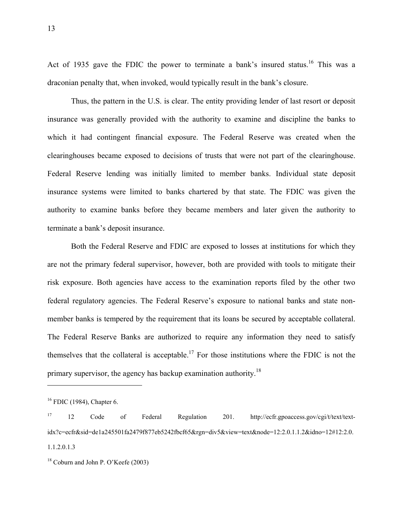Act of 1935 gave the FDIC the power to terminate a bank's insured status.<sup>16</sup> This was a draconian penalty that, when invoked, would typically result in the bank's closure.

 Thus, the pattern in the U.S. is clear. The entity providing lender of last resort or deposit insurance was generally provided with the authority to examine and discipline the banks to which it had contingent financial exposure. The Federal Reserve was created when the clearinghouses became exposed to decisions of trusts that were not part of the clearinghouse. Federal Reserve lending was initially limited to member banks. Individual state deposit insurance systems were limited to banks chartered by that state. The FDIC was given the authority to examine banks before they became members and later given the authority to terminate a bank's deposit insurance.

 Both the Federal Reserve and FDIC are exposed to losses at institutions for which they are not the primary federal supervisor, however, both are provided with tools to mitigate their risk exposure. Both agencies have access to the examination reports filed by the other two federal regulatory agencies. The Federal Reserve's exposure to national banks and state nonmember banks is tempered by the requirement that its loans be secured by acceptable collateral. The Federal Reserve Banks are authorized to require any information they need to satisfy themselves that the collateral is acceptable.<sup>17</sup> For those institutions where the FDIC is not the primary supervisor, the agency has backup examination authority.<sup>18</sup>

<sup>&</sup>lt;sup>16</sup> FDIC (1984), Chapter 6.

<sup>17 12</sup> Code of Federal Regulation 201. http://ecfr.gpoaccess.gov/cgi/t/text/textidx?c=ecfr&sid=de1a245501fa2479f877eb5242fbcf65&rgn=div5&view=text&node=12:2.0.1.1.2&idno=12#12:2.0. 1.1.2.0.1.3

<sup>18</sup> Coburn and John P. O'Keefe (2003)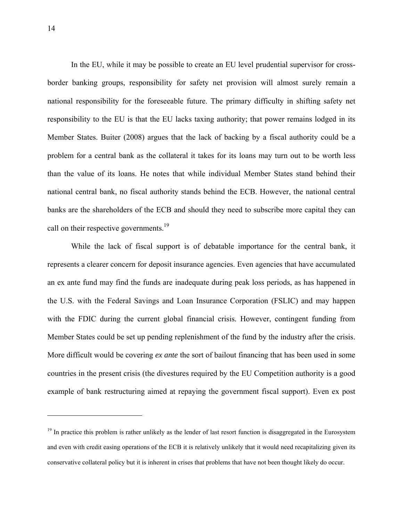In the EU, while it may be possible to create an EU level prudential supervisor for crossborder banking groups, responsibility for safety net provision will almost surely remain a national responsibility for the foreseeable future. The primary difficulty in shifting safety net responsibility to the EU is that the EU lacks taxing authority; that power remains lodged in its Member States. Buiter (2008) argues that the lack of backing by a fiscal authority could be a problem for a central bank as the collateral it takes for its loans may turn out to be worth less than the value of its loans. He notes that while individual Member States stand behind their national central bank, no fiscal authority stands behind the ECB. However, the national central banks are the shareholders of the ECB and should they need to subscribe more capital they can call on their respective governments.<sup>19</sup>

 While the lack of fiscal support is of debatable importance for the central bank, it represents a clearer concern for deposit insurance agencies. Even agencies that have accumulated an ex ante fund may find the funds are inadequate during peak loss periods, as has happened in the U.S. with the Federal Savings and Loan Insurance Corporation (FSLIC) and may happen with the FDIC during the current global financial crisis. However, contingent funding from Member States could be set up pending replenishment of the fund by the industry after the crisis. More difficult would be covering *ex ante* the sort of bailout financing that has been used in some countries in the present crisis (the divestures required by the EU Competition authority is a good example of bank restructuring aimed at repaying the government fiscal support). Even ex post

<u>.</u>

 $19$  In practice this problem is rather unlikely as the lender of last resort function is disaggregated in the Eurosystem and even with credit easing operations of the ECB it is relatively unlikely that it would need recapitalizing given its conservative collateral policy but it is inherent in crises that problems that have not been thought likely do occur.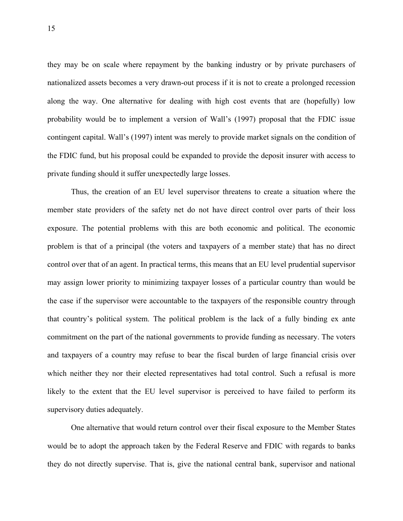they may be on scale where repayment by the banking industry or by private purchasers of nationalized assets becomes a very drawn-out process if it is not to create a prolonged recession along the way. One alternative for dealing with high cost events that are (hopefully) low probability would be to implement a version of Wall's (1997) proposal that the FDIC issue contingent capital. Wall's (1997) intent was merely to provide market signals on the condition of the FDIC fund, but his proposal could be expanded to provide the deposit insurer with access to private funding should it suffer unexpectedly large losses.

 Thus, the creation of an EU level supervisor threatens to create a situation where the member state providers of the safety net do not have direct control over parts of their loss exposure. The potential problems with this are both economic and political. The economic problem is that of a principal (the voters and taxpayers of a member state) that has no direct control over that of an agent. In practical terms, this means that an EU level prudential supervisor may assign lower priority to minimizing taxpayer losses of a particular country than would be the case if the supervisor were accountable to the taxpayers of the responsible country through that country's political system. The political problem is the lack of a fully binding ex ante commitment on the part of the national governments to provide funding as necessary. The voters and taxpayers of a country may refuse to bear the fiscal burden of large financial crisis over which neither they nor their elected representatives had total control. Such a refusal is more likely to the extent that the EU level supervisor is perceived to have failed to perform its supervisory duties adequately.

 One alternative that would return control over their fiscal exposure to the Member States would be to adopt the approach taken by the Federal Reserve and FDIC with regards to banks they do not directly supervise. That is, give the national central bank, supervisor and national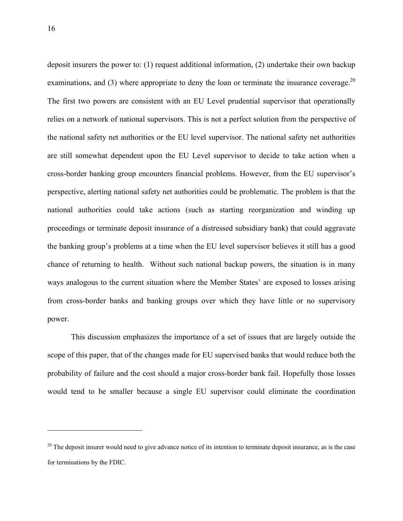deposit insurers the power to: (1) request additional information, (2) undertake their own backup examinations, and (3) where appropriate to deny the loan or terminate the insurance coverage.<sup>20</sup> The first two powers are consistent with an EU Level prudential supervisor that operationally relies on a network of national supervisors. This is not a perfect solution from the perspective of the national safety net authorities or the EU level supervisor. The national safety net authorities are still somewhat dependent upon the EU Level supervisor to decide to take action when a cross-border banking group encounters financial problems. However, from the EU supervisor's perspective, alerting national safety net authorities could be problematic. The problem is that the national authorities could take actions (such as starting reorganization and winding up proceedings or terminate deposit insurance of a distressed subsidiary bank) that could aggravate the banking group's problems at a time when the EU level supervisor believes it still has a good chance of returning to health. Without such national backup powers, the situation is in many ways analogous to the current situation where the Member States' are exposed to losses arising from cross-border banks and banking groups over which they have little or no supervisory power.

 This discussion emphasizes the importance of a set of issues that are largely outside the scope of this paper, that of the changes made for EU supervised banks that would reduce both the probability of failure and the cost should a major cross-border bank fail. Hopefully those losses would tend to be smaller because a single EU supervisor could eliminate the coordination

 $20$  The deposit insurer would need to give advance notice of its intention to terminate deposit insurance, as is the case for terminations by the FDIC.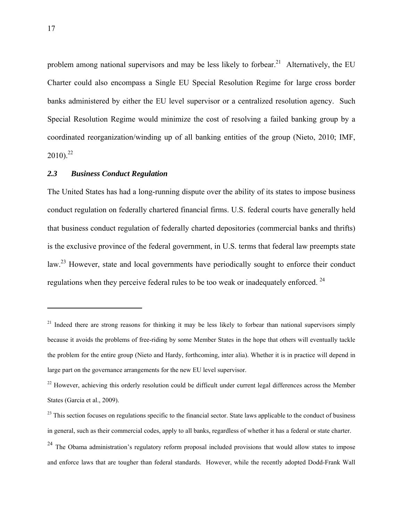problem among national supervisors and may be less likely to forbear.<sup>21</sup> Alternatively, the EU Charter could also encompass a Single EU Special Resolution Regime for large cross border banks administered by either the EU level supervisor or a centralized resolution agency. Such Special Resolution Regime would minimize the cost of resolving a failed banking group by a coordinated reorganization/winding up of all banking entities of the group (Nieto, 2010; IMF,  $2010$ <sup>22</sup>

# *2.3 Business Conduct Regulation*

The United States has had a long-running dispute over the ability of its states to impose business conduct regulation on federally chartered financial firms. U.S. federal courts have generally held that business conduct regulation of federally charted depositories (commercial banks and thrifts) is the exclusive province of the federal government, in U.S. terms that federal law preempts state law.<sup>23</sup> However, state and local governments have periodically sought to enforce their conduct regulations when they perceive federal rules to be too weak or inadequately enforced. 24

 $21$  Indeed there are strong reasons for thinking it may be less likely to forbear than national supervisors simply because it avoids the problems of free-riding by some Member States in the hope that others will eventually tackle the problem for the entire group (Nieto and Hardy, forthcoming, inter alia). Whether it is in practice will depend in large part on the governance arrangements for the new EU level supervisor.

<sup>&</sup>lt;sup>22</sup> However, achieving this orderly resolution could be difficult under current legal differences across the Member States (Garcia et al., 2009).

 $23$  This section focuses on regulations specific to the financial sector. State laws applicable to the conduct of business in general, such as their commercial codes, apply to all banks, regardless of whether it has a federal or state charter.

 $^{24}$  The Obama administration's regulatory reform proposal included provisions that would allow states to impose and enforce laws that are tougher than federal standards. However, while the recently adopted Dodd-Frank Wall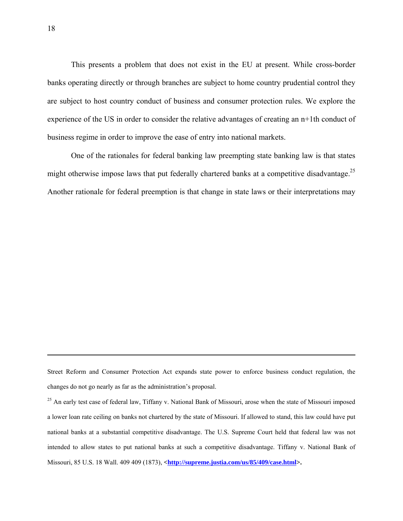This presents a problem that does not exist in the EU at present. While cross-border banks operating directly or through branches are subject to home country prudential control they are subject to host country conduct of business and consumer protection rules. We explore the experience of the US in order to consider the relative advantages of creating an n+1th conduct of business regime in order to improve the ease of entry into national markets.

One of the rationales for federal banking law preempting state banking law is that states might otherwise impose laws that put federally chartered banks at a competitive disadvantage.<sup>25</sup> Another rationale for federal preemption is that change in state laws or their interpretations may

Street Reform and Consumer Protection Act expands state power to enforce business conduct regulation, the changes do not go nearly as far as the administration's proposal.

<sup>25</sup> An early test case of federal law, Tiffany v. National Bank of Missouri, arose when the state of Missouri imposed a lower loan rate ceiling on banks not chartered by the state of Missouri. If allowed to stand, this law could have put national banks at a substantial competitive disadvantage. The U.S. Supreme Court held that federal law was not intended to allow states to put national banks at such a competitive disadvantage. Tiffany v. National Bank of Missouri, 85 U.S. 18 Wall. 409 409 (1873), <**http://supreme.justia.com/us/85/409/case.html>.**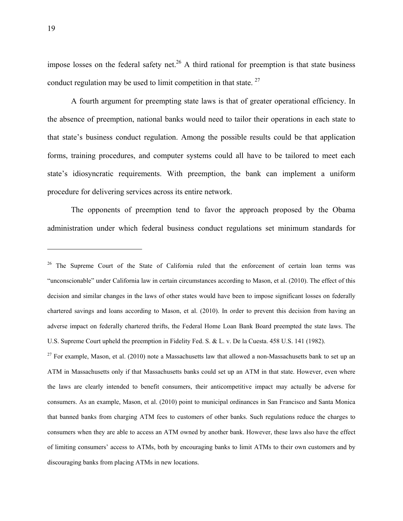impose losses on the federal safety net.<sup>26</sup> A third rational for preemption is that state business conduct regulation may be used to limit competition in that state.  $27$ 

 A fourth argument for preempting state laws is that of greater operational efficiency. In the absence of preemption, national banks would need to tailor their operations in each state to that state's business conduct regulation. Among the possible results could be that application forms, training procedures, and computer systems could all have to be tailored to meet each state's idiosyncratic requirements. With preemption, the bank can implement a uniform procedure for delivering services across its entire network.

 The opponents of preemption tend to favor the approach proposed by the Obama administration under which federal business conduct regulations set minimum standards for

 $27$  For example, Mason, et al. (2010) note a Massachusetts law that allowed a non-Massachusetts bank to set up an ATM in Massachusetts only if that Massachusetts banks could set up an ATM in that state. However, even where the laws are clearly intended to benefit consumers, their anticompetitive impact may actually be adverse for consumers. As an example, Mason, et al. (2010) point to municipal ordinances in San Francisco and Santa Monica that banned banks from charging ATM fees to customers of other banks. Such regulations reduce the charges to consumers when they are able to access an ATM owned by another bank. However, these laws also have the effect of limiting consumers' access to ATMs, both by encouraging banks to limit ATMs to their own customers and by discouraging banks from placing ATMs in new locations.

<sup>&</sup>lt;sup>26</sup> The Supreme Court of the State of California ruled that the enforcement of certain loan terms was "unconscionable" under California law in certain circumstances according to Mason, et al. (2010). The effect of this decision and similar changes in the laws of other states would have been to impose significant losses on federally chartered savings and loans according to Mason, et al. (2010). In order to prevent this decision from having an adverse impact on federally chartered thrifts, the Federal Home Loan Bank Board preempted the state laws. The U.S. Supreme Court upheld the preemption in Fidelity Fed. S. & L. v. De la Cuesta. 458 U.S. 141 (1982).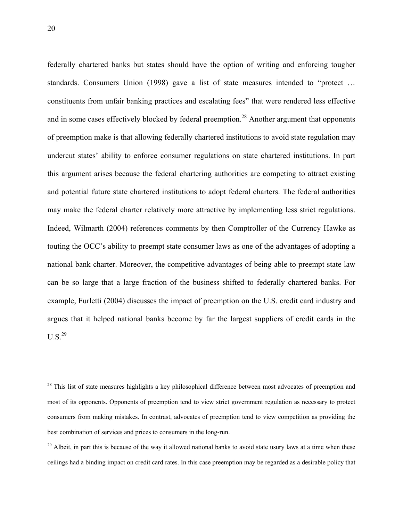federally chartered banks but states should have the option of writing and enforcing tougher standards. Consumers Union (1998) gave a list of state measures intended to "protect … constituents from unfair banking practices and escalating fees" that were rendered less effective and in some cases effectively blocked by federal preemption.<sup>28</sup> Another argument that opponents of preemption make is that allowing federally chartered institutions to avoid state regulation may undercut states' ability to enforce consumer regulations on state chartered institutions. In part this argument arises because the federal chartering authorities are competing to attract existing and potential future state chartered institutions to adopt federal charters. The federal authorities may make the federal charter relatively more attractive by implementing less strict regulations. Indeed, Wilmarth (2004) references comments by then Comptroller of the Currency Hawke as touting the OCC's ability to preempt state consumer laws as one of the advantages of adopting a national bank charter. Moreover, the competitive advantages of being able to preempt state law can be so large that a large fraction of the business shifted to federally chartered banks. For example, Furletti (2004) discusses the impact of preemption on the U.S. credit card industry and argues that it helped national banks become by far the largest suppliers of credit cards in the  $U.S.<sup>29</sup>$ 

<sup>&</sup>lt;sup>28</sup> This list of state measures highlights a key philosophical difference between most advocates of preemption and most of its opponents. Opponents of preemption tend to view strict government regulation as necessary to protect consumers from making mistakes. In contrast, advocates of preemption tend to view competition as providing the best combination of services and prices to consumers in the long-run.

 $^{29}$  Albeit, in part this is because of the way it allowed national banks to avoid state usury laws at a time when these ceilings had a binding impact on credit card rates. In this case preemption may be regarded as a desirable policy that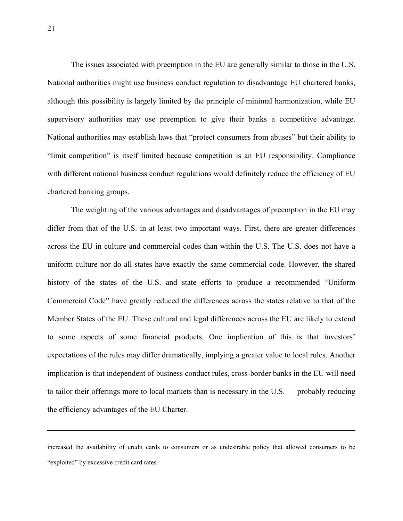The issues associated with preemption in the EU are generally similar to those in the U.S. National authorities might use business conduct regulation to disadvantage EU chartered banks, although this possibility is largely limited by the principle of minimal harmonization, while EU supervisory authorities may use preemption to give their banks a competitive advantage. National authorities may establish laws that "protect consumers from abuses" but their ability to "limit competition" is itself limited because competition is an EU responsibility. Compliance with different national business conduct regulations would definitely reduce the efficiency of EU chartered banking groups.

 The weighting of the various advantages and disadvantages of preemption in the EU may differ from that of the U.S. in at least two important ways. First, there are greater differences across the EU in culture and commercial codes than within the U.S. The U.S. does not have a uniform culture nor do all states have exactly the same commercial code. However, the shared history of the states of the U.S. and state efforts to produce a recommended "Uniform Commercial Code" have greatly reduced the differences across the states relative to that of the Member States of the EU. These cultural and legal differences across the EU are likely to extend to some aspects of some financial products. One implication of this is that investors' expectations of the rules may differ dramatically, implying a greater value to local rules. Another implication is that independent of business conduct rules, cross-border banks in the EU will need to tailor their offerings more to local markets than is necessary in the U.S. — probably reducing the efficiency advantages of the EU Charter.

increased the availability of credit cards to consumers or as undesirable policy that allowed consumers to be "exploited" by excessive credit card rates.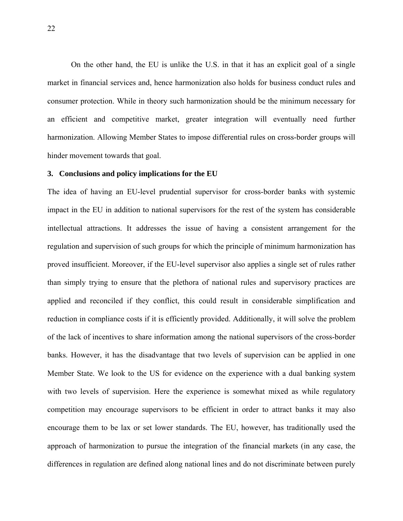On the other hand, the EU is unlike the U.S. in that it has an explicit goal of a single market in financial services and, hence harmonization also holds for business conduct rules and consumer protection. While in theory such harmonization should be the minimum necessary for an efficient and competitive market, greater integration will eventually need further harmonization. Allowing Member States to impose differential rules on cross-border groups will hinder movement towards that goal.

## **3. Conclusions and policy implications for the EU**

The idea of having an EU-level prudential supervisor for cross-border banks with systemic impact in the EU in addition to national supervisors for the rest of the system has considerable intellectual attractions. It addresses the issue of having a consistent arrangement for the regulation and supervision of such groups for which the principle of minimum harmonization has proved insufficient. Moreover, if the EU-level supervisor also applies a single set of rules rather than simply trying to ensure that the plethora of national rules and supervisory practices are applied and reconciled if they conflict, this could result in considerable simplification and reduction in compliance costs if it is efficiently provided. Additionally, it will solve the problem of the lack of incentives to share information among the national supervisors of the cross-border banks. However, it has the disadvantage that two levels of supervision can be applied in one Member State. We look to the US for evidence on the experience with a dual banking system with two levels of supervision. Here the experience is somewhat mixed as while regulatory competition may encourage supervisors to be efficient in order to attract banks it may also encourage them to be lax or set lower standards. The EU, however, has traditionally used the approach of harmonization to pursue the integration of the financial markets (in any case, the differences in regulation are defined along national lines and do not discriminate between purely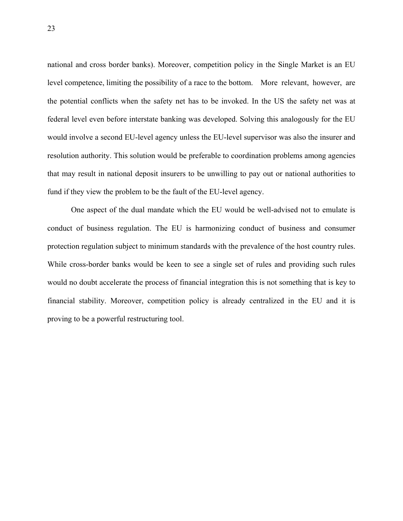national and cross border banks). Moreover, competition policy in the Single Market is an EU level competence, limiting the possibility of a race to the bottom. More relevant, however, are the potential conflicts when the safety net has to be invoked. In the US the safety net was at federal level even before interstate banking was developed. Solving this analogously for the EU would involve a second EU-level agency unless the EU-level supervisor was also the insurer and resolution authority. This solution would be preferable to coordination problems among agencies that may result in national deposit insurers to be unwilling to pay out or national authorities to fund if they view the problem to be the fault of the EU-level agency.

 One aspect of the dual mandate which the EU would be well-advised not to emulate is conduct of business regulation. The EU is harmonizing conduct of business and consumer protection regulation subject to minimum standards with the prevalence of the host country rules. While cross-border banks would be keen to see a single set of rules and providing such rules would no doubt accelerate the process of financial integration this is not something that is key to financial stability. Moreover, competition policy is already centralized in the EU and it is proving to be a powerful restructuring tool.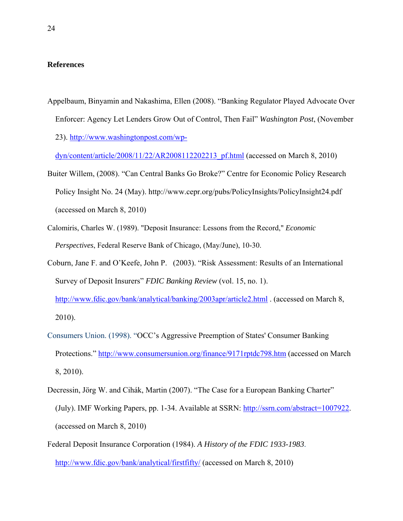# **References**

Appelbaum, Binyamin and Nakashima, Ellen (2008). "Banking Regulator Played Advocate Over Enforcer: Agency Let Lenders Grow Out of Control, Then Fail" *Washington Post*, (November 23). http://www.washingtonpost.com/wp-

dyn/content/article/2008/11/22/AR2008112202213\_pf.html (accessed on March 8, 2010)

- Buiter Willem, (2008). "Can Central Banks Go Broke?" Centre for Economic Policy Research Policy Insight No. 24 (May). http://www.cepr.org/pubs/PolicyInsights/PolicyInsight24.pdf (accessed on March 8, 2010)
- Calomiris, Charles W. (1989). "Deposit Insurance: Lessons from the Record," *Economic Perspectives*, Federal Reserve Bank of Chicago, (May/June), 10-30.
- Coburn, Jane F. and O'Keefe, John P. (2003). "Risk Assessment: Results of an International Survey of Deposit Insurers" *FDIC Banking Review* (vol. 15, no. 1).
	- http://www.fdic.gov/bank/analytical/banking/2003apr/article2.html . (accessed on March 8, 2010).
- Consumers Union. (1998). "OCC's Aggressive Preemption of States' Consumer Banking Protections." http://www.consumersunion.org/finance/9171rptdc798.htm (accessed on March 8, 2010).
- Decressin, Jörg W. and Cihák, Martin (2007). "The Case for a European Banking Charter" (July). IMF Working Papers, pp. 1-34. Available at SSRN: http://ssrn.com/abstract=1007922. (accessed on March 8, 2010)
- Federal Deposit Insurance Corporation (1984). *A History of the FDIC 1933-1983*. http://www.fdic.gov/bank/analytical/firstfifty/ (accessed on March 8, 2010)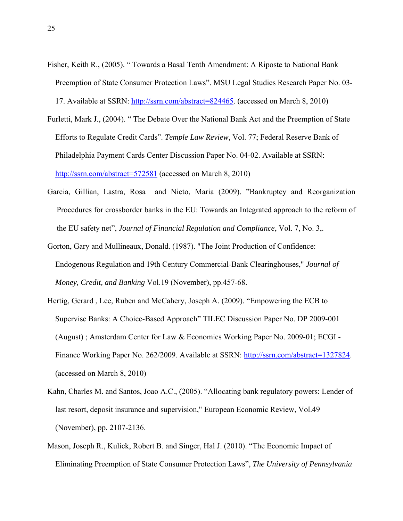Fisher, Keith R., (2005). " Towards a Basal Tenth Amendment: A Riposte to National Bank Preemption of State Consumer Protection Laws". MSU Legal Studies Research Paper No. 03-

17. Available at SSRN: http://ssrn.com/abstract=824465. (accessed on March 8, 2010)

- Furletti, Mark J., (2004). " The Debate Over the National Bank Act and the Preemption of State Efforts to Regulate Credit Cards". *Temple Law Review*, Vol. 77; Federal Reserve Bank of Philadelphia Payment Cards Center Discussion Paper No. 04-02. Available at SSRN: http://ssrn.com/abstract=572581 (accessed on March 8, 2010)
- Garcia, Gillian, Lastra, Rosa and Nieto, Maria (2009). "Bankruptcy and Reorganization Procedures for crossborder banks in the EU: Towards an Integrated approach to the reform of the EU safety net", *Journal of Financial Regulation and Compliance*, Vol. 7, No. 3,.
- Gorton, Gary and Mullineaux, Donald. (1987). "The Joint Production of Confidence: Endogenous Regulation and 19th Century Commercial-Bank Clearinghouses," *Journal of Money, Credit, and Banking* Vol.19 (November), pp.457-68.
- Hertig, Gerard , Lee, Ruben and McCahery, Joseph A. (2009). "Empowering the ECB to Supervise Banks: A Choice-Based Approach" TILEC Discussion Paper No. DP 2009-001 (August) ; Amsterdam Center for Law & Economics Working Paper No. 2009-01; ECGI - Finance Working Paper No. 262/2009. Available at SSRN: http://ssrn.com/abstract=1327824. (accessed on March 8, 2010)
- Kahn, Charles M. and Santos, Joao A.C., (2005). "Allocating bank regulatory powers: Lender of last resort, deposit insurance and supervision," European Economic Review, Vol.49 (November), pp. 2107-2136.
- Mason, Joseph R., Kulick, Robert B. and Singer, Hal J. (2010). "The Economic Impact of Eliminating Preemption of State Consumer Protection Laws", *The University of Pennsylvania*